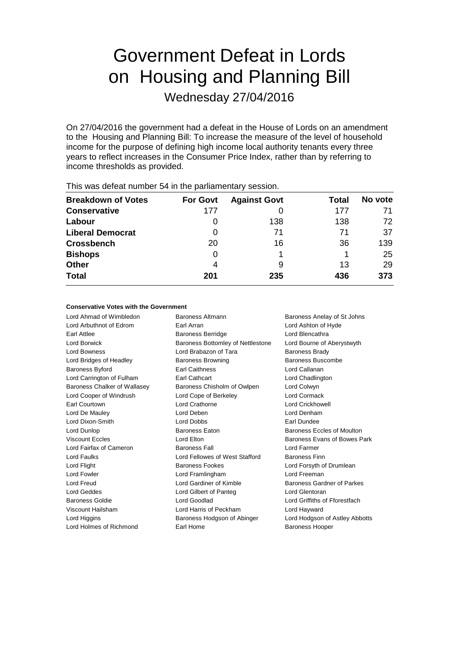# Government Defeat in Lords on Housing and Planning Bill

Wednesday 27/04/2016

On 27/04/2016 the government had a defeat in the House of Lords on an amendment to the Housing and Planning Bill: To increase the measure of the level of household income for the purpose of defining high income local authority tenants every three years to reflect increases in the Consumer Price Index, rather than by referring to income thresholds as provided.

| <b>Breakdown of Votes</b> | <b>For Govt</b> | <b>Against Govt</b> | Total | No vote |
|---------------------------|-----------------|---------------------|-------|---------|
| <b>Conservative</b>       | 177             |                     | 177   | 71      |
| Labour                    | O               | 138                 | 138   | 72      |
| <b>Liberal Democrat</b>   | 0               | 71                  | 71    | 37      |
| <b>Crossbench</b>         | 20              | 16                  | 36    | 139     |
| <b>Bishops</b>            | 0               |                     |       | 25      |
| Other                     | 4               | 9                   | 13    | 29      |
| <b>Total</b>              | 201             | 235                 | 436   | 373     |
|                           |                 |                     |       |         |

This was defeat number 54 in the parliamentary session.

#### **Conservative Votes with the Government**

Lord Ahmad of Wimbledon Baroness Altmann Baroness Anelay of St Johns Lord Arbuthnot of Edrom Earl Arran Lord Ashton of Hyde Earl Attlee **Baroness Berridge** Lord Blencathra Lord Borwick **Baroness Bottomley of Nettlestone** Lord Bourne of Aberystwyth Lord Bowness **Lord Brabazon of Tara** Baroness Brady Lord Bridges of Headley **Baroness Browning** Baroness Buscombe Baroness Byford Earl Caithness Lord Callanan Lord Carrington of Fulham Earl Cathcart Lord Chadlington Baroness Chalker of Wallasey Baroness Chisholm of Owlpen Lord Colwyn Lord Cooper of Windrush Lord Cope of Berkeley Lord Cormack Earl Courtown Lord Crathorne Lord Crickhowell Lord De Mauley **Lord Denham** Lord Deben **Lord Denham** Lord Dixon-Smith Lord Dobbs Earl Dundee Lord Dunlop **Baroness Eaton** Baroness Eaton **Baroness Eccles of Moulton** Viscount Eccles Lord Elton Baroness Evans of Bowes Park Lord Fairfax of Cameron Baroness Fall Lord Farmer Lord Faulks Lord Fellowes of West Stafford Baroness Finn Lord Flight **Baroness Fookes** Lord Forsyth of Drumlean Lord Forsyth of Drumlean Lord Fowler Lord Framlingham Lord Freeman Lord Freud **Lord Gardiner of Kimble** Baroness Gardner of Parkes Lord Geddes **Lord Gilbert of Panteg Lord General** Lord General Act and General Act and General Act and General Act and General Act and General Act and General Act and General Act and General Act and General Act and General Baroness Goldie Lord Goodlad Lord Griffiths of Fforestfach Viscount Hailsham Lord Harris of Peckham Lord Hayward Lord Higgins **Baroness Hodgson of Abinger** Lord Hodgson of Astley Abbotts Lord Holmes of Richmond Earl Home Earl Home Baroness Hooper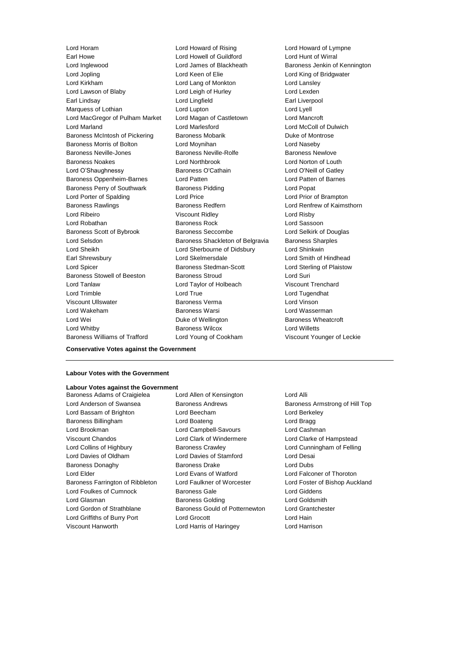Earl Howe Lord Howell of Guildford Lord Hunt of Wirral Lord Inglewood Lord James of Blackheath Baroness Jenkin of Kennington Lord Jopling **Lord Conduct Lord Keen of Elie** Lord King of Bridgwater Lord Kirkham Lord Lang of Monkton Lord Lansley Lord Lawson of Blaby **Lord Leigh of Hurley** Lord Lexden Earl Lindsay **Lord Lingfield** Earl Liverpool Marquess of Lothian **Lord Lupton** Lord Lupton **Lord Lyell** Lord MacGregor of Pulham Market Lord Magan of Castletown Lord Mancroft Lord Marland Lord Marlesford Lord McColl of Dulwich Baroness McIntosh of Pickering Baroness Mobarik Baroness Montrose Baroness Morris of Bolton Lord Moynihan Lord Naseby Baroness Neville-Jones Baroness Neville-Rolfe Baroness Newlove Baroness Noakes Lord Northbrook Lord Norton of Louth Lord O'Shaughnessy Baroness O'Cathain Lord O'Neill of Gatley Baroness Oppenheim-Barnes Lord Patten Lord Patten of Barnes Baroness Perry of Southwark Baroness Pidding Lord Popat Lord Porter of Spalding Lord Price Lord Prior of Brampton Baroness Rawlings **Baroness Redfern Baroness Redfern Lord Renfrew of Kaimsthorn** Lord Ribeiro Viscount Ridley Lord Risby Lord Robathan Baroness Rock Lord Sassoon Baroness Scott of Bybrook Baroness Seccombe Lord Selkirk of Douglas Lord Selsdon Baroness Shackleton of Belgravia Baroness Sharples Lord Sheikh Lord Sherbourne of Didsbury Lord Shinkwin Earl Shrewsbury **Lord Skelmersdale** Lord School Lord Smith of Hindhead Lord Spicer Baroness Stedman-Scott Lord Sterling of Plaistow Baroness Stowell of Beeston Baroness Stroud Lord Suri Lord Tanlaw Lord Taylor of Holbeach Viscount Trenchard Lord Trimble Lord True Lord Tugendhat Viscount Ullswater Baroness Verma Lord Vinson Lord Wakeham **Baroness Warsi** Baroness Warsi **Lord Wasserman** Lord Wei **Duke of Wellington** Baroness Wheatcroft **Duke Of Wellington** Baroness Wheatcroft Lord Whitby Baroness Wilcox Lord Willetts

Lord Horam Lord Howard of Rising Lord Howard of Lympne Baroness Williams of Trafford Lord Young of Cookham Viscount Younger of Leckie

#### **Labour Votes with the Government**

### **Labour Votes against the Government**

**Conservative Votes against the Government**

Lord Anderson of Swansea **Baroness Andrews** Baroness Armstrong of Hill Top Lord Bassam of Brighton Lord Beecham Lord Berkeley Baroness Billingham Lord Boateng Lord Bragg Lord Brookman Lord Campbell-Savours Lord Cashman Viscount Chandos Lord Clark of Windermere Lord Clarke of Hampstead Lord Collins of Highbury Baroness Crawley Lord Cunningham of Felling Lord Davies of Oldham Lord Davies of Stamford Lord Desai Baroness Donaghy Baroness Drake Lord Dubs Lord Elder Lord Evans of Watford Lord Falconer of Thoroton Baroness Farrington of Ribbleton Lord Faulkner of Worcester Lord Foster of Bishop Auckland Lord Foulkes of Cumnock Baroness Gale Lord Giddens Lord Glasman **Baroness Golding Community** Lord Goldsmith Lord Gordon of Strathblane Baroness Gould of Potternewton Lord Grantchester Lord Griffiths of Burry Port Lord Grocott Lord Hain

Baroness Adams of Craigielea Lord Allen of Kensington Lord Alli Viscount Hanworth Lord Harris of Haringey Lord Harrison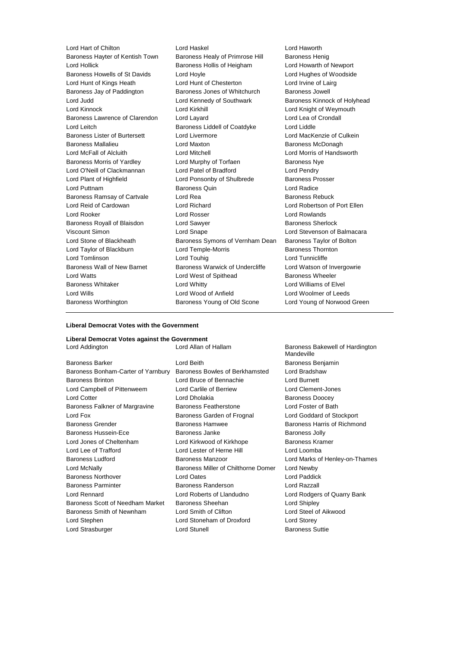Lord Hart of Chilton Lord Haskel Lord Haworth Baroness Hayter of Kentish Town Baroness Healy of Primrose Hill Baroness Henig Lord Hollick Baroness Hollis of Heigham Lord Howarth of Newport Baroness Howells of St Davids Lord Hoyle Lord Hughes of Woodside Lord Hunt of Kings Heath **Lord Hunt of Chesterton** Lord Irvine of Lairg Baroness Jay of Paddington Baroness Jones of Whitchurch Baroness Jowell Lord Judd **Lord Kennedy of Southwark** Baroness Kinnock of Holyhead Lord Kinnock **Lord Kirkhill** Lord Kirkhill **Lord Kirkhill** Lord Knight of Weymouth Baroness Lawrence of Clarendon Lord Layard Lord Lea of Crondall Lord Leitch Baroness Liddell of Coatdyke Lord Liddle Baroness Lister of Burtersett Lord Livermore Lord MacKenzie of Culkein Baroness Mallalieu **Baroness McDonagh** Lord Maxton **Baroness McDonagh** Lord McFall of Alcluith Lord Mitchell Lord Morris of Handsworth Baroness Morris of Yardley **Lord Murphy of Torfaen** Baroness Nye Lord O'Neill of Clackmannan Lord Patel of Bradford Lord Pendry Lord Plant of Highfield **Lord Ponsonby of Shulbrede** Baroness Prosser Lord Puttnam Baroness Quin Lord Radice Baroness Ramsay of Cartvale **Lord Rea Lord Rea** Baroness Rebuck Lord Reid of Cardowan Lord Richard Lord Robertson of Port Ellen Lord Rooker Lord Rosser Lord Rowlands Baroness Royall of Blaisdon **Lord Sawyer Baroness Sherlock** Viscount Simon Lord Snape Lord Stevenson of Balmacara Lord Stone of Blackheath Baroness Symons of Vernham Dean Baroness Taylor of Bolton Lord Taylor of Blackburn **Lord Temple-Morris** Baroness Thornton Lord Tomlinson Lord Touhig Lord Tunnicliffe Baroness Wall of New Barnet Baroness Warwick of Undercliffe Lord Watson of Invergowrie Lord Watts **Lord West of Spithead** Baroness Wheeler Baroness Whitaker **Lord Whitty** Lord Whitty **Lord Williams of Elvel** Lord Wills Lord Wood of Anfield Lord Woolmer of Leeds Baroness Worthington Baroness Young of Old Scone Lord Young of Norwood Green

#### **Liberal Democrat Votes with the Government**

#### **Liberal Democrat Votes against the Government**

| Lord Addington                     | Lord Allan of Hallam                | Baroness Bakewell of Hardington<br>Mandeville |  |
|------------------------------------|-------------------------------------|-----------------------------------------------|--|
| <b>Baroness Barker</b>             | Lord Beith<br>Baroness Benjamin     |                                               |  |
| Baroness Bonham-Carter of Yarnbury | Baroness Bowles of Berkhamsted      | Lord Bradshaw                                 |  |
| <b>Baroness Brinton</b>            | Lord Bruce of Bennachie             | Lord Burnett                                  |  |
| Lord Campbell of Pittenweem        | Lord Carlile of Berriew             | Lord Clement-Jones                            |  |
| <b>Lord Cotter</b>                 | Lord Dholakia                       | <b>Baroness Doocey</b>                        |  |
| Baroness Falkner of Margravine     | <b>Baroness Featherstone</b>        | Lord Foster of Bath                           |  |
| Lord Fox                           | Baroness Garden of Frognal          | Lord Goddard of Stockport                     |  |
| <b>Baroness Grender</b>            | <b>Baroness Hamwee</b>              | Baroness Harris of Richmond                   |  |
| <b>Baroness Hussein-Ece</b>        | Baroness Janke                      | <b>Baroness Jolly</b>                         |  |
| Lord Jones of Cheltenham           | Lord Kirkwood of Kirkhope           | <b>Baroness Kramer</b>                        |  |
| Lord Lee of Trafford               | Lord Lester of Herne Hill           | Lord Loomba                                   |  |
| <b>Baroness Ludford</b>            | Baroness Manzoor                    | Lord Marks of Henley-on-Thames                |  |
| Lord McNally                       | Baroness Miller of Chilthorne Domer | Lord Newby                                    |  |
| <b>Baroness Northover</b>          | Lord Oates                          | Lord Paddick                                  |  |
| <b>Baroness Parminter</b>          | Baroness Randerson                  | Lord Razzall                                  |  |
| Lord Rennard                       | Lord Roberts of Llandudno           | Lord Rodgers of Quarry Bank                   |  |
| Baroness Scott of Needham Market   | <b>Baroness Sheehan</b>             | Lord Shipley                                  |  |
| Baroness Smith of Newnham          | Lord Smith of Clifton               | Lord Steel of Aikwood                         |  |
| Lord Stephen                       | Lord Stoneham of Droxford           | Lord Storey                                   |  |
| Lord Strasburger                   | <b>Lord Stunell</b>                 | <b>Baroness Suttie</b>                        |  |